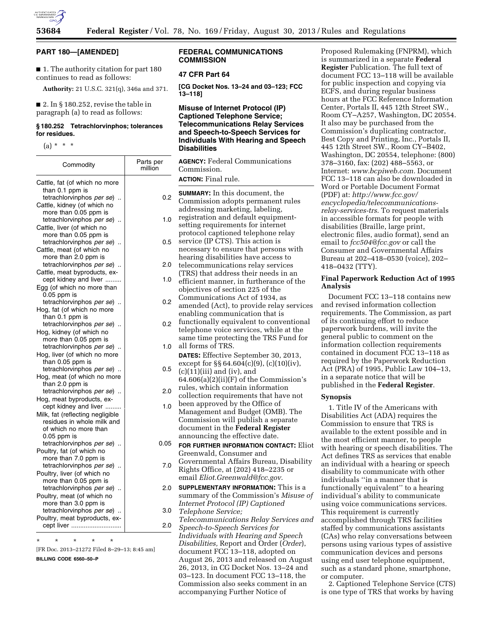

### **PART 180—[AMENDED]**

■ 1. The authority citation for part 180 continues to read as follows:

**Authority:** 21 U.S.C. 321(q), 346a and 371.

 $\blacksquare$  2. In § 180.252, revise the table in paragraph (a) to read as follows:

## **§ 180.252 Tetrachlorvinphos; tolerances for residues.**

 $(a) * * * *$ 

| Commodity                                            | Parts per<br>million |
|------------------------------------------------------|----------------------|
| Cattle, fat (of which no more                        |                      |
| than 0.1 ppm is                                      |                      |
| tetrachlorvinphos <i>per se</i> )                    | 0.2                  |
| Cattle, kidney (of which no                          |                      |
| more than 0.05 ppm is                                |                      |
| tetrachlorvinphos per se)<br>$\ddotsc$               | 1.0                  |
| Cattle, liver (of which no                           |                      |
| more than 0.05 ppm is                                |                      |
| tetrachlorvinphos per se)                            | 0.5                  |
| Cattle, meat (of which no                            |                      |
| more than 2.0 ppm is                                 |                      |
| tetrachlorvinphos per se)                            | 2.0                  |
| Cattle, meat byproducts, ex-                         |                      |
| cept kidney and liver                                | 1.0                  |
| Egg (of which no more than                           |                      |
| $0.05$ ppm is                                        |                      |
| tetrachlorvinphos per se)                            | 0.2                  |
| Hog, fat (of which no more                           |                      |
| than 0.1 ppm is                                      |                      |
| tetrachlorvinphos per se)                            | 0.2                  |
| Hog, kidney (of which no                             |                      |
| more than 0.05 ppm is                                |                      |
| tetrachlorvinphos per se)                            | 1.0                  |
| Hog, liver (of which no more                         |                      |
| than 0.05 ppm is                                     |                      |
| tetrachlorvinphos per se)                            | 0.5                  |
| Hog, meat (of which no more                          |                      |
| than 2.0 ppm is                                      |                      |
| tetrachlorvinphos per se)                            | 2.0                  |
| Hog, meat byproducts, ex-                            |                      |
| cept kidney and liver                                | 1.0                  |
| Milk, fat (reflecting negligible                     |                      |
| residues in whole milk and                           |                      |
| of which no more than                                |                      |
| $0.05$ ppm is                                        |                      |
| tetrachlorvinphos per se)                            | 0.05                 |
| Poultry, fat (of which no                            |                      |
| more than 7.0 ppm is                                 |                      |
| tetrachlorvinphos per se)<br>$\ddotsc$               | 7.0                  |
| Poultry, liver (of which no                          |                      |
| more than 0.05 ppm is                                |                      |
| tetrachlorvinphos per se)                            | 2.0                  |
| Poultry, meat (of which no                           |                      |
| more than 3.0 ppm is                                 |                      |
| tetrachlorvinphos per se)                            | 3.0                  |
| Poultry, meat byproducts, ex-                        |                      |
| cept liver                                           | 2.0                  |
| $^\star$<br>$\star$<br>$\star$<br>$\star$<br>$\star$ |                      |

[FR Doc. 2013–21272 Filed 8–29–13; 8:45 am]

**BILLING CODE 6560–50–P** 

# **FEDERAL COMMUNICATIONS COMMISSION**

## **47 CFR Part 64**

**[CG Docket Nos. 13–24 and 03–123; FCC 13–118]** 

# **Misuse of Internet Protocol (IP) Captioned Telephone Service; Telecommunications Relay Services and Speech-to-Speech Services for Individuals With Hearing and Speech Disabilities**

**AGENCY:** Federal Communications Commission.

# **ACTION:** Final rule.

| 0.2  | <b>SUMMARY:</b> In this document, the<br>Commission adopts permanent rules |
|------|----------------------------------------------------------------------------|
|      | addressing marketing, labeling,                                            |
| 1.0  | registration and default equipment-                                        |
|      | setting requirements for internet                                          |
|      | protocol captioned telephone relay                                         |
| 0.5  | service (IP CTS). This action is                                           |
|      | necessary to ensure that persons with                                      |
|      | hearing disabilities have access to                                        |
| 2.0  | telecommunications relay services                                          |
| 1.0  | (TRS) that address their needs in an                                       |
|      | efficient manner, in furtherance of the                                    |
|      | objectives of section 225 of the                                           |
| 0.2  | Communications Act of 1934, as                                             |
|      | amended (Act), to provide relay services<br>enabling communication that is |
|      | functionally equivalent to conventional                                    |
| 0.2  | telephone voice services, while at the                                     |
|      | same time protecting the TRS Fund for                                      |
| 1.0  | all forms of TRS.                                                          |
|      | DATES: Effective September 30, 2013,                                       |
|      | except for $\S$ § 64.604(c)(9), (c)(10)(iv),                               |
| 0.5  | $(c)(11)(iii)$ and $(iv)$ , and                                            |
|      | $64.606(a)(2)(ii)(F)$ of the Commission's                                  |
| 2.0  | rules, which contain information                                           |
|      | collection requirements that have not                                      |
| 1.0  | been approved by the Office of                                             |
|      | Management and Budget (OMB). The                                           |
|      | Commission will publish a separate                                         |
|      | document in the Federal Register                                           |
|      | announcing the effective date.                                             |
| ).05 | FOR FURTHER INFORMATION CONTACT: Eliot                                     |
|      | Greenwald, Consumer and                                                    |
| 7.0  | Governmental Affairs Bureau, Disability                                    |
|      | Rights Office, at (202) 418-2235 or                                        |
|      | email Eliot.Greenwald@fcc.gov.                                             |
| 2.0  | <b>SUPPLEMENTARY INFORMATION:</b> This is a                                |
|      | summary of the Commission's Misuse of<br>Internet Protocol (IP) Captioned  |
| 3.0  | Telephone Service;                                                         |
|      | Telecommunications Relay Services and                                      |
| 2.0  | Speech-to-Speech Services for                                              |
|      | Individuals with Hearing and Speech                                        |
|      | Disabilities, Report and Order (Order),                                    |
|      |                                                                            |

document FCC 13–118, adopted on August 26, 2013 and released on August 26, 2013, in CG Docket Nos. 13–24 and 03–123. In document FCC 13–118, the Commission also seeks comment in an accompanying Further Notice of

Proposed Rulemaking (FNPRM), which is summarized in a separate **Federal Register** Publication. The full text of document FCC 13–118 will be available for public inspection and copying via ECFS, and during regular business hours at the FCC Reference Information Center, Portals II, 445 12th Street SW., Room CY–A257, Washington, DC 20554. It also may be purchased from the Commission's duplicating contractor, Best Copy and Printing, Inc., Portals II, 445 12th Street SW., Room CY–B402, Washington, DC 20554, telephone: (800) 378–3160, fax: (202) 488–5563, or Internet: *[www.bcpiweb.com.](http://www.bcpiweb.com)* Document FCC 13–118 can also be downloaded in Word or Portable Document Format (PDF) at: *[http://www.fcc.gov/](http://www.fcc.gov/encyclopedia/telecommunications-relay-services-trs) [encyclopedia/telecommunications](http://www.fcc.gov/encyclopedia/telecommunications-relay-services-trs)[relay-services-trs](http://www.fcc.gov/encyclopedia/telecommunications-relay-services-trs)*. To request materials in accessible formats for people with disabilities (Braille, large print, electronic files, audio format), send an email to *[fcc504@fcc.gov](mailto:fcc504@fcc.gov)* or call the Consumer and Governmental Affairs Bureau at 202–418–0530 (voice), 202– 418–0432 (TTY).

# **Final Paperwork Reduction Act of 1995 Analysis**

Document FCC 13–118 contains new and revised information collection requirements. The Commission, as part of its continuing effort to reduce paperwork burdens, will invite the general public to comment on the information collection requirements contained in document FCC 13–118 as required by the Paperwork Reduction Act (PRA) of 1995, Public Law 104–13, in a separate notice that will be published in the **Federal Register**.

#### **Synopsis**

1. Title IV of the Americans with Disabilities Act (ADA) requires the Commission to ensure that TRS is available to the extent possible and in the most efficient manner, to people with hearing or speech disabilities. The Act defines TRS as services that enable an individual with a hearing or speech disability to communicate with other individuals ''in a manner that is functionally equivalent'' to a hearing  $of$  individual's ability to communicate using voice communications services. This requirement is currently accomplished through TRS facilities staffed by communications assistants (CAs) who relay conversations between persons using various types of assistive communication devices and persons using end user telephone equipment, such as a standard phone, smartphone, or computer.

2. Captioned Telephone Service (CTS) is one type of TRS that works by having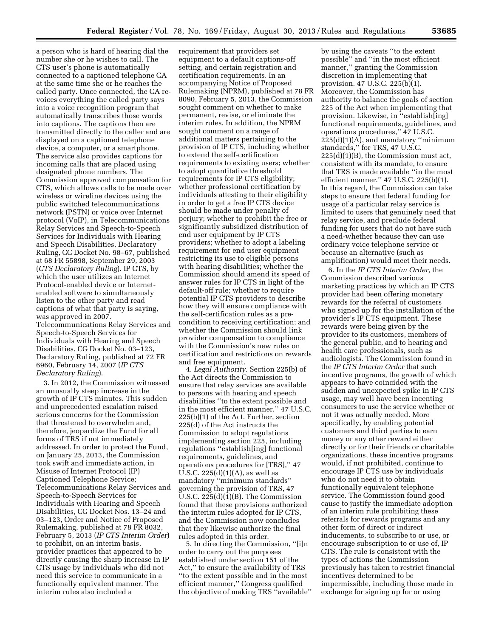a person who is hard of hearing dial the number she or he wishes to call. The CTS user's phone is automatically connected to a captioned telephone CA at the same time she or he reaches the called party. Once connected, the CA revoices everything the called party says into a voice recognition program that automatically transcribes those words into captions. The captions then are transmitted directly to the caller and are displayed on a captioned telephone device, a computer, or a smartphone. The service also provides captions for incoming calls that are placed using designated phone numbers. The Commission approved compensation for CTS, which allows calls to be made over wireless or wireline devices using the public switched telecommunications network (PSTN) or voice over Internet protocol (VoIP), in Telecommunications Relay Services and Speech-to-Speech Services for Individuals with Hearing and Speech Disabilities, Declaratory Ruling, CC Docket No. 98–67, published at 68 FR 55898, September 29, 2003 (*CTS Declaratory Ruling*). IP CTS, by which the user utilizes an Internet Protocol-enabled device or Internetenabled software to simultaneously listen to the other party and read captions of what that party is saying, was approved in 2007. Telecommunications Relay Services and Speech-to-Speech Services for Individuals with Hearing and Speech Disabilities, CG Docket No. 03–123, Declaratory Ruling, published at 72 FR 6960, February 14, 2007 (*IP CTS Declaratory Ruling*).

3. In 2012, the Commission witnessed an unusually steep increase in the growth of IP CTS minutes. This sudden and unprecedented escalation raised serious concerns for the Commission that threatened to overwhelm and, therefore, jeopardize the Fund for all forms of TRS if not immediately addressed. In order to protect the Fund, on January 25, 2013, the Commission took swift and immediate action, in Misuse of Internet Protocol (IP) Captioned Telephone Service; Telecommunications Relay Services and Speech-to-Speech Services for Individuals with Hearing and Speech Disabilities, CG Docket Nos. 13–24 and 03–123, Order and Notice of Proposed Rulemaking, published at 78 FR 8032, February 5, 2013 (*IP CTS Interim Order*) to prohibit, on an interim basis, provider practices that appeared to be directly causing the sharp increase in IP CTS usage by individuals who did not need this service to communicate in a functionally equivalent manner. The interim rules also included a

requirement that providers set equipment to a default captions-off setting, and certain registration and certification requirements. In an accompanying Notice of Proposed Rulemaking (NPRM), published at 78 FR 8090, February 5, 2013, the Commission sought comment on whether to make permanent, revise, or eliminate the interim rules. In addition, the NPRM sought comment on a range of additional matters pertaining to the provision of IP CTS, including whether to extend the self-certification requirements to existing users; whether to adopt quantitative threshold requirements for IP CTS eligibility; whether professional certification by individuals attesting to their eligibility in order to get a free IP CTS device should be made under penalty of perjury; whether to prohibit the free or significantly subsidized distribution of end user equipment by IP CTS providers; whether to adopt a labeling requirement for end user equipment restricting its use to eligible persons with hearing disabilities; whether the Commission should amend its speed of answer rules for IP CTS in light of the default-off rule; whether to require potential IP CTS providers to describe how they will ensure compliance with the self-certification rules as a precondition to receiving certification; and whether the Commission should link provider compensation to compliance with the Commission's new rules on certification and restrictions on rewards and free equipment.

4. *Legal Authority.* Section 225(b) of the Act directs the Commission to ensure that relay services are available to persons with hearing and speech disabilities ''to the extent possible and in the most efficient manner.'' 47 U.S.C. 225(b)(1) of the Act. Further, section 225(d) of the Act instructs the Commission to adopt regulations implementing section 225, including regulations ''establish[ing] functional requirements, guidelines, and operations procedures for [TRS],'' 47 U.S.C.  $225(d)(1)(A)$ , as well as mandatory ''minimum standards'' governing the provision of TRS, 47 U.S.C. 225(d)(1)(B). The Commission found that these provisions authorized the interim rules adopted for IP CTS, and the Commission now concludes that they likewise authorize the final rules adopted in this order.

5. In directing the Commission, ''[i]n order to carry out the purposes established under section 151 of the Act,'' to ensure the availability of TRS ''to the extent possible and in the most efficient manner,'' Congress qualified the objective of making TRS ''available''

by using the caveats ''to the extent possible'' and ''in the most efficient manner,'' granting the Commission discretion in implementing that provision. 47 U.S.C. 225(b)(1). Moreover, the Commission has authority to balance the goals of section 225 of the Act when implementing that provision. Likewise, in ''establish[ing] functional requirements, guidelines, and operations procedures,'' 47 U.S.C.  $225(d)(1)(A)$ , and mandatory "minimum standards,'' for TRS, 47 U.S.C. 225(d)(1)(B), the Commission must act, consistent with its mandate, to ensure that TRS is made available ''in the most efficient manner.'' 47 U.S.C. 225(b)(1). In this regard, the Commission can take steps to ensure that federal funding for usage of a particular relay service is limited to users that genuinely need that relay service, and preclude federal funding for users that do not have such a need-whether because they can use ordinary voice telephone service or because an alternative (such as amplification) would meet their needs.

6. In the *IP CTS Interim Order,* the Commission described various marketing practices by which an IP CTS provider had been offering monetary rewards for the referral of customers who signed up for the installation of the provider's IP CTS equipment. These rewards were being given by the provider to its customers, members of the general public, and to hearing and health care professionals, such as audiologists. The Commission found in the *IP CTS Interim Order* that such incentive programs, the growth of which appears to have coincided with the sudden and unexpected spike in IP CTS usage, may well have been incenting consumers to use the service whether or not it was actually needed. More specifically, by enabling potential customers and third parties to earn money or any other reward either directly or for their friends or charitable organizations, these incentive programs would, if not prohibited, continue to encourage IP CTS use by individuals who do not need it to obtain functionally equivalent telephone service. The Commission found good cause to justify the immediate adoption of an interim rule prohibiting these referrals for rewards programs and any other form of direct or indirect inducements, to subscribe to or use, or encourage subscription to or use of, IP CTS. The rule is consistent with the types of actions the Commission previously has taken to restrict financial incentives determined to be impermissible, including those made in exchange for signing up for or using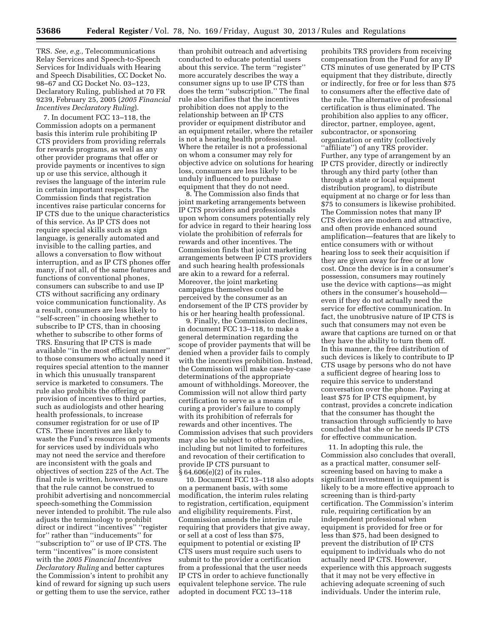TRS. *See, e.g.,* Telecommunications Relay Services and Speech-to-Speech Services for Individuals with Hearing and Speech Disabilities, CC Docket No. 98–67 and CG Docket No. 03–123, Declaratory Ruling, published at 70 FR 9239, February 25, 2005 (*2005 Financial Incentives Declaratory Ruling*).

7. In document FCC 13–118, the Commission adopts on a permanent basis this interim rule prohibiting IP CTS providers from providing referrals for rewards programs, as well as any other provider programs that offer or provide payments or incentives to sign up or use this service, although it revises the language of the interim rule in certain important respects. The Commission finds that registration incentives raise particular concerns for IP CTS due to the unique characteristics of this service. As IP CTS does not require special skills such as sign language, is generally automated and invisible to the calling parties, and allows a conversation to flow without interruption, and as IP CTS phones offer many, if not all, of the same features and functions of conventional phones, consumers can subscribe to and use IP CTS without sacrificing any ordinary voice communication functionality. As a result, consumers are less likely to ''self-screen'' in choosing whether to subscribe to IP CTS, than in choosing whether to subscribe to other forms of TRS. Ensuring that IP CTS is made available ''in the most efficient manner'' to those consumers who actually need it requires special attention to the manner in which this unusually transparent service is marketed to consumers. The rule also prohibits the offering or provision of incentives to third parties, such as audiologists and other hearing health professionals, to increase consumer registration for or use of IP CTS. These incentives are likely to waste the Fund's resources on payments for services used by individuals who may not need the service and therefore are inconsistent with the goals and objectives of section 225 of the Act. The final rule is written, however, to ensure that the rule cannot be construed to prohibit advertising and noncommercial speech-something the Commission never intended to prohibit. The rule also adjusts the terminology to prohibit direct or indirect ''incentives'' ''register for'' rather than ''inducements'' for ''subscription to'' or use of IP CTS. The term ''incentives'' is more consistent with the *2005 Financial Incentives Declaratory Ruling* and better captures the Commission's intent to prohibit any kind of reward for signing up such users or getting them to use the service, rather

than prohibit outreach and advertising conducted to educate potential users about this service. The term ''register'' more accurately describes the way a consumer signs up to use IP CTS than does the term ''subscription.'' The final rule also clarifies that the incentives prohibition does not apply to the relationship between an IP CTS provider or equipment distributor and an equipment retailer, where the retailer is not a hearing health professional. Where the retailer is not a professional on whom a consumer may rely for objective advice on solutions for hearing loss, consumers are less likely to be unduly influenced to purchase equipment that they do not need.

8. The Commission also finds that joint marketing arrangements between IP CTS providers and professionals upon whom consumers potentially rely for advice in regard to their hearing loss violate the prohibition of referrals for rewards and other incentives. The Commission finds that joint marketing arrangements between IP CTS providers and such hearing health professionals are akin to a reward for a referral. Moreover, the joint marketing campaigns themselves could be perceived by the consumer as an endorsement of the IP CTS provider by his or her hearing health professional.

9. Finally, the Commission declines, in document FCC 13–118, to make a general determination regarding the scope of provider payments that will be denied when a provider fails to comply with the incentives prohibition. Instead, the Commission will make case-by-case determinations of the appropriate amount of withholdings. Moreover, the Commission will not allow third party certification to serve as a means of curing a provider's failure to comply with its prohibition of referrals for rewards and other incentives. The Commission advises that such providers may also be subject to other remedies, including but not limited to forfeitures and revocation of their certification to provide IP CTS pursuant to § 64.606(e)(2) of its rules.

10. Document FCC 13–118 also adopts on a permanent basis, with some modification, the interim rules relating to registration, certification, equipment and eligibility requirements. First, Commission amends the interim rule requiring that providers that give away, or sell at a cost of less than \$75, equipment to potential or existing IP CTS users must require such users to submit to the provider a certification from a professional that the user needs IP CTS in order to achieve functionally equivalent telephone service. The rule adopted in document FCC 13–118

prohibits TRS providers from receiving compensation from the Fund for any IP CTS minutes of use generated by IP CTS equipment that they distribute, directly or indirectly, for free or for less than \$75 to consumers after the effective date of the rule. The alternative of professional certification is thus eliminated. The prohibition also applies to any officer, director, partner, employee, agent, subcontractor, or sponsoring organization or entity (collectively ''affiliate'') of any TRS provider. Further, any type of arrangement by an IP CTS provider, directly or indirectly through any third party (other than through a state or local equipment distribution program), to distribute equipment at no charge or for less than \$75 to consumers is likewise prohibited. The Commission notes that many IP CTS devices are modern and attractive, and often provide enhanced sound amplification—features that are likely to entice consumers with or without hearing loss to seek their acquisition if they are given away for free or at low cost. Once the device is in a consumer's possession, consumers may routinely use the device with captions—as might others in the consumer's household even if they do not actually need the service for effective communication. In fact, the unobtrusive nature of IP CTS is such that consumers may not even be aware that captions are turned on or that they have the ability to turn them off. In this manner, the free distribution of such devices is likely to contribute to IP CTS usage by persons who do not have a sufficient degree of hearing loss to require this service to understand conversation over the phone. Paying at least \$75 for IP CTS equipment, by contrast, provides a concrete indication that the consumer has thought the transaction through sufficiently to have concluded that she or he needs IP CTS for effective communication.

11. In adopting this rule, the Commission also concludes that overall, as a practical matter, consumer selfscreening based on having to make a significant investment in equipment is likely to be a more effective approach to screening than is third-party certification. The Commission's interim rule, requiring certification by an independent professional when equipment is provided for free or for less than \$75, had been designed to prevent the distribution of IP CTS equipment to individuals who do not actually need IP CTS. However, experience with this approach suggests that it may not be very effective in achieving adequate screening of such individuals. Under the interim rule,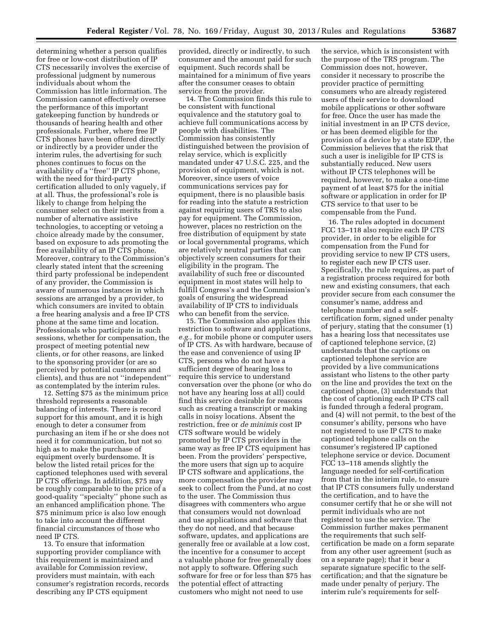determining whether a person qualifies for free or low-cost distribution of IP CTS necessarily involves the exercise of professional judgment by numerous individuals about whom the Commission has little information. The Commission cannot effectively oversee the performance of this important gatekeeping function by hundreds or thousands of hearing health and other professionals. Further, where free IP CTS phones have been offered directly or indirectly by a provider under the interim rules, the advertising for such phones continues to focus on the availability of a ''free'' IP CTS phone, with the need for third-party certification alluded to only vaguely, if at all. Thus, the professional's role is likely to change from helping the consumer select on their merits from a number of alternative assistive technologies, to accepting or vetoing a choice already made by the consumer, based on exposure to ads promoting the free availability of an IP CTS phone. Moreover, contrary to the Commission's clearly stated intent that the screening third party professional be independent of any provider, the Commission is aware of numerous instances in which sessions are arranged by a provider, to which consumers are invited to obtain a free hearing analysis and a free IP CTS phone at the same time and location. Professionals who participate in such sessions, whether for compensation, the prospect of meeting potential new clients, or for other reasons, are linked to the sponsoring provider (or are so perceived by potential customers and clients), and thus are not ''independent'' as contemplated by the interim rules.

12. Setting \$75 as the minimum price threshold represents a reasonable balancing of interests. There is record support for this amount, and it is high enough to deter a consumer from purchasing an item if he or she does not need it for communication, but not so high as to make the purchase of equipment overly burdensome. It is below the listed retail prices for the captioned telephones used with several IP CTS offerings. In addition, \$75 may be roughly comparable to the price of a good-quality ''specialty'' phone such as an enhanced amplification phone. The \$75 minimum price is also low enough to take into account the different financial circumstances of those who need IP CTS.

13. To ensure that information supporting provider compliance with this requirement is maintained and available for Commission review, providers must maintain, with each consumer's registration records, records describing any IP CTS equipment

provided, directly or indirectly, to such consumer and the amount paid for such equipment. Such records shall be maintained for a minimum of five years after the consumer ceases to obtain service from the provider.

14. The Commission finds this rule to be consistent with functional equivalence and the statutory goal to achieve full communications access by people with disabilities. The Commission has consistently distinguished between the provision of relay service, which is explicitly mandated under 47 U.S.C. 225, and the provision of equipment, which is not. Moreover, since users of voice communications services pay for equipment, there is no plausible basis for reading into the statute a restriction against requiring users of TRS to also pay for equipment. The Commission, however, places no restriction on the free distribution of equipment by state or local governmental programs, which are relatively neutral parties that can objectively screen consumers for their eligibility in the program. The availability of such free or discounted equipment in most states will help to fulfill Congress's and the Commission's goals of ensuring the widespread availability of IP CTS to individuals who can benefit from the service.

15. The Commission also applies this restriction to software and applications, *e.g.,* for mobile phone or computer users of IP CTS. As with hardware, because of the ease and convenience of using IP CTS, persons who do not have a sufficient degree of hearing loss to require this service to understand conversation over the phone (or who do not have any hearing loss at all) could find this service desirable for reasons such as creating a transcript or making calls in noisy locations. Absent the restriction, free or *de minimis* cost IP CTS software would be widely promoted by IP CTS providers in the same way as free IP CTS equipment has been. From the providers' perspective, the more users that sign up to acquire IP CTS software and applications, the more compensation the provider may seek to collect from the Fund, at no cost to the user. The Commission thus disagrees with commenters who argue that consumers would not download and use applications and software that they do not need, and that because software, updates, and applications are generally free or available at a low cost, the incentive for a consumer to accept a valuable phone for free generally does not apply to software. Offering such software for free or for less than \$75 has the potential effect of attracting customers who might not need to use

the service, which is inconsistent with the purpose of the TRS program. The Commission does not, however, consider it necessary to proscribe the provider practice of permitting consumers who are already registered users of their service to download mobile applications or other software for free. Once the user has made the initial investment in an IP CTS device, or has been deemed eligible for the provision of a device by a state EDP, the Commission believes that the risk that such a user is ineligible for IP CTS is substantially reduced. New users without IP CTS telephones will be required, however, to make a one-time payment of at least \$75 for the initial software or application in order for IP CTS service to that user to be compensable from the Fund.

16. The rules adopted in document FCC 13–118 also require each IP CTS provider, in order to be eligible for compensation from the Fund for providing service to new IP CTS users, to register each new IP CTS user. Specifically, the rule requires, as part of a registration process required for both new and existing consumers, that each provider secure from each consumer the consumer's name, address and telephone number and a selfcertification form, signed under penalty of perjury, stating that the consumer (1) has a hearing loss that necessitates use of captioned telephone service, (2) understands that the captions on captioned telephone service are provided by a live communications assistant who listens to the other party on the line and provides the text on the captioned phone, (3) understands that the cost of captioning each IP CTS call is funded through a federal program, and (4) will not permit, to the best of the consumer's ability, persons who have not registered to use IP CTS to make captioned telephone calls on the consumer's registered IP captioned telephone service or device. Document FCC 13–118 amends slightly the language needed for self-certification from that in the interim rule, to ensure that IP CTS consumers fully understand the certification, and to have the consumer certify that he or she will not permit individuals who are not registered to use the service. The Commission further makes permanent the requirements that such selfcertification be made on a form separate from any other user agreement (such as on a separate page); that it bear a separate signature specific to the selfcertification; and that the signature be made under penalty of perjury. The interim rule's requirements for self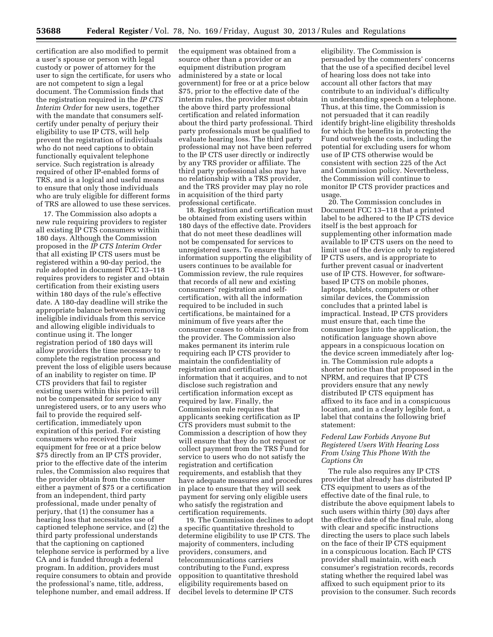certification are also modified to permit a user's spouse or person with legal custody or power of attorney for the user to sign the certificate, for users who are not competent to sign a legal document. The Commission finds that the registration required in the *IP CTS Interim Order* for new users, together with the mandate that consumers selfcertify under penalty of perjury their eligibility to use IP CTS, will help prevent the registration of individuals who do not need captions to obtain functionally equivalent telephone service. Such registration is already required of other IP-enabled forms of TRS, and is a logical and useful means to ensure that only those individuals who are truly eligible for different forms of TRS are allowed to use these services.

17. The Commission also adopts a new rule requiring providers to register all existing IP CTS consumers within 180 days. Although the Commission proposed in the *IP CTS Interim Order*  that all existing IP CTS users must be registered within a 90-day period, the rule adopted in document FCC 13–118 requires providers to register and obtain certification from their existing users within 180 days of the rule's effective date. A 180-day deadline will strike the appropriate balance between removing ineligible individuals from this service and allowing eligible individuals to continue using it. The longer registration period of 180 days will allow providers the time necessary to complete the registration process and prevent the loss of eligible users because of an inability to register on time. IP CTS providers that fail to register existing users within this period will not be compensated for service to any unregistered users, or to any users who fail to provide the required selfcertification, immediately upon expiration of this period. For existing consumers who received their equipment for free or at a price below \$75 directly from an IP CTS provider, prior to the effective date of the interim rules, the Commission also requires that the provider obtain from the consumer either a payment of \$75 or a certification from an independent, third party professional, made under penalty of perjury, that (1) the consumer has a hearing loss that necessitates use of captioned telephone service, and (2) the third party professional understands that the captioning on captioned telephone service is performed by a live CA and is funded through a federal program. In addition, providers must require consumers to obtain and provide the professional's name, title, address, telephone number, and email address. If

the equipment was obtained from a source other than a provider or an equipment distribution program administered by a state or local government) for free or at a price below \$75, prior to the effective date of the interim rules, the provider must obtain the above third party professional certification and related information about the third party professional. Third party professionals must be qualified to evaluate hearing loss. The third party professional may not have been referred to the IP CTS user directly or indirectly by any TRS provider or affiliate. The third party professional also may have no relationship with a TRS provider, and the TRS provider may play no role in acquisition of the third party professional certificate.

18. Registration and certification must be obtained from existing users within 180 days of the effective date. Providers that do not meet these deadlines will not be compensated for services to unregistered users. To ensure that information supporting the eligibility of users continues to be available for Commission review, the rule requires that records of all new and existing consumers' registration and selfcertification, with all the information required to be included in such certifications, be maintained for a minimum of five years after the consumer ceases to obtain service from the provider. The Commission also makes permanent its interim rule requiring each IP CTS provider to maintain the confidentiality of registration and certification information that it acquires, and to not disclose such registration and certification information except as required by law. Finally, the Commission rule requires that applicants seeking certification as IP CTS providers must submit to the Commission a description of how they will ensure that they do not request or collect payment from the TRS Fund for service to users who do not satisfy the registration and certification requirements, and establish that they have adequate measures and procedures in place to ensure that they will seek payment for serving only eligible users who satisfy the registration and certification requirements.

19. The Commission declines to adopt a specific quantitative threshold to determine eligibility to use IP CTS. The majority of commenters, including providers, consumers, and telecommunications carriers contributing to the Fund, express opposition to quantitative threshold eligibility requirements based on decibel levels to determine IP CTS

eligibility. The Commission is persuaded by the commenters' concerns that the use of a specified decibel level of hearing loss does not take into account all other factors that may contribute to an individual's difficulty in understanding speech on a telephone. Thus, at this time, the Commission is not persuaded that it can readily identify bright-line eligibility thresholds for which the benefits in protecting the Fund outweigh the costs, including the potential for excluding users for whom use of IP CTS otherwise would be consistent with section 225 of the Act and Commission policy. Nevertheless, the Commission will continue to monitor IP CTS provider practices and usage.

20. The Commission concludes in Document FCC 13–118 that a printed label to be adhered to the IP CTS device itself is the best approach for supplementing other information made available to IP CTS users on the need to limit use of the device only to registered IP CTS users, and is appropriate to further prevent casual or inadvertent use of IP CTS. However, for softwarebased IP CTS on mobile phones, laptops, tablets, computers or other similar devices, the Commission concludes that a printed label is impractical. Instead, IP CTS providers must ensure that, each time the consumer logs into the application, the notification language shown above appears in a conspicuous location on the device screen immediately after login. The Commission rule adopts a shorter notice than that proposed in the NPRM, and requires that IP CTS providers ensure that any newly distributed IP CTS equipment has affixed to its face and in a conspicuous location, and in a clearly legible font, a label that contains the following brief statement:

# *Federal Law Forbids Anyone But Registered Users With Hearing Loss From Using This Phone With the Captions On*

The rule also requires any IP CTS provider that already has distributed IP CTS equipment to users as of the effective date of the final rule, to distribute the above equipment labels to such users within thirty (30) days after the effective date of the final rule, along with clear and specific instructions directing the users to place such labels on the face of their IP CTS equipment in a conspicuous location. Each IP CTS provider shall maintain, with each consumer's registration records, records stating whether the required label was affixed to such equipment prior to its provision to the consumer. Such records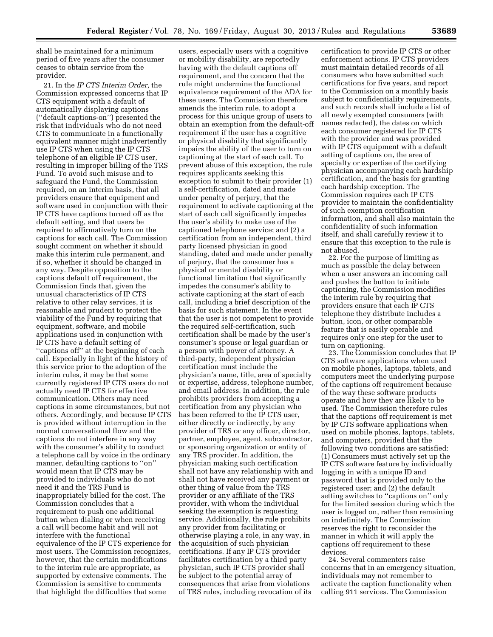shall be maintained for a minimum period of five years after the consumer ceases to obtain service from the provider.

21. In the *IP CTS Interim Order,* the Commission expressed concerns that IP CTS equipment with a default of automatically displaying captions (''default captions-on'') presented the risk that individuals who do not need CTS to communicate in a functionally equivalent manner might inadvertently use IP CTS when using the IP CTS telephone of an eligible IP CTS user, resulting in improper billing of the TRS Fund. To avoid such misuse and to safeguard the Fund, the Commission required, on an interim basis, that all providers ensure that equipment and software used in conjunction with their IP CTS have captions turned off as the default setting, and that users be required to affirmatively turn on the captions for each call. The Commission sought comment on whether it should make this interim rule permanent, and if so, whether it should be changed in any way. Despite opposition to the captions default off requirement, the Commission finds that, given the unusual characteristics of IP CTS relative to other relay services, it is reasonable and prudent to protect the viability of the Fund by requiring that equipment, software, and mobile applications used in conjunction with IP CTS have a default setting of ''captions off'' at the beginning of each call. Especially in light of the history of this service prior to the adoption of the interim rules, it may be that some currently registered IP CTS users do not actually need IP CTS for effective communication. Others may need captions in some circumstances, but not others. Accordingly, and because IP CTS is provided without interruption in the normal conversational flow and the captions do not interfere in any way with the consumer's ability to conduct a telephone call by voice in the ordinary manner, defaulting captions to ''on'' would mean that IP CTS may be provided to individuals who do not need it and the TRS Fund is inappropriately billed for the cost. The Commission concludes that a requirement to push one additional button when dialing or when receiving a call will become habit and will not interfere with the functional equivalence of the IP CTS experience for most users. The Commission recognizes, however, that the certain modifications to the interim rule are appropriate, as supported by extensive comments. The Commission is sensitive to comments that highlight the difficulties that some

users, especially users with a cognitive or mobility disability, are reportedly having with the default captions off requirement, and the concern that the rule might undermine the functional equivalence requirement of the ADA for these users. The Commission therefore amends the interim rule, to adopt a process for this unique group of users to obtain an exemption from the default-off requirement if the user has a cognitive or physical disability that significantly impairs the ability of the user to turn on captioning at the start of each call. To prevent abuse of this exception, the rule requires applicants seeking this exception to submit to their provider (1) a self-certification, dated and made under penalty of perjury, that the requirement to activate captioning at the start of each call significantly impedes the user's ability to make use of the captioned telephone service; and (2) a certification from an independent, third party licensed physician in good standing, dated and made under penalty of perjury, that the consumer has a physical or mental disability or functional limitation that significantly impedes the consumer's ability to activate captioning at the start of each call, including a brief description of the basis for such statement. In the event that the user is not competent to provide the required self-certification, such certification shall be made by the user's consumer's spouse or legal guardian or a person with power of attorney. A third-party, independent physician certification must include the physician's name, title, area of specialty or expertise, address, telephone number, and email address. In addition, the rule prohibits providers from accepting a certification from any physician who has been referred to the IP CTS user, either directly or indirectly, by any provider of TRS or any officer, director, partner, employee, agent, subcontractor, or sponsoring organization or entity of any TRS provider. In addition, the physician making such certification shall not have any relationship with and shall not have received any payment or other thing of value from the TRS provider or any affiliate of the TRS provider, with whom the individual seeking the exemption is requesting service. Additionally, the rule prohibits any provider from facilitating or otherwise playing a role, in any way, in the acquisition of such physician certifications. If any IP CTS provider facilitates certification by a third party physician, such IP CTS provider shall be subject to the potential array of consequences that arise from violations of TRS rules, including revocation of its

certification to provide IP CTS or other enforcement actions. IP CTS providers must maintain detailed records of all consumers who have submitted such certifications for five years, and report to the Commission on a monthly basis subject to confidentiality requirements, and such records shall include a list of all newly exempted consumers (with names redacted), the dates on which each consumer registered for IP CTS with the provider and was provided with IP CTS equipment with a default setting of captions on, the area of specialty or expertise of the certifying physician accompanying each hardship certification, and the basis for granting each hardship exception. The Commission requires each IP CTS provider to maintain the confidentiality of such exemption certification information, and shall also maintain the confidentiality of such information itself, and shall carefully review it to ensure that this exception to the rule is not abused.

22. For the purpose of limiting as much as possible the delay between when a user answers an incoming call and pushes the button to initiate captioning, the Commission modifies the interim rule by requiring that providers ensure that each IP CTS telephone they distribute includes a button, icon, or other comparable feature that is easily operable and requires only one step for the user to turn on captioning.

23. The Commission concludes that IP CTS software applications when used on mobile phones, laptops, tablets, and computers meet the underlying purpose of the captions off requirement because of the way these software products operate and how they are likely to be used. The Commission therefore rules that the captions off requirement is met by IP CTS software applications when used on mobile phones, laptops, tablets, and computers, provided that the following two conditions are satisfied: (1) Consumers must actively set up the IP CTS software feature by individually logging in with a unique ID and password that is provided only to the registered user; and (2) the default setting switches to "captions on" only for the limited session during which the user is logged on, rather than remaining on indefinitely. The Commission reserves the right to reconsider the manner in which it will apply the captions off requirement to these devices.

24. Several commenters raise concerns that in an emergency situation, individuals may not remember to activate the caption functionality when calling 911 services. The Commission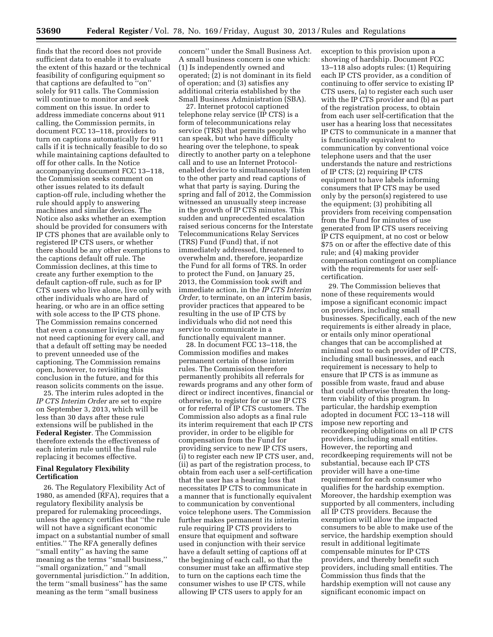finds that the record does not provide sufficient data to enable it to evaluate the extent of this hazard or the technical feasibility of configuring equipment so that captions are defaulted to "on" solely for 911 calls. The Commission will continue to monitor and seek comment on this issue. In order to address immediate concerns about 911 calling, the Commission permits, in document FCC 13–118, providers to turn on captions automatically for 911 calls if it is technically feasible to do so while maintaining captions defaulted to off for other calls. In the Notice accompanying document FCC 13–118, the Commission seeks comment on other issues related to its default caption-off rule, including whether the rule should apply to answering machines and similar devices. The Notice also asks whether an exemption should be provided for consumers with IP CTS phones that are available only to registered IP CTS users, or whether there should be any other exemptions to the captions default off rule. The Commission declines, at this time to create any further exemption to the default caption-off rule, such as for IP CTS users who live alone, live only with other individuals who are hard of hearing, or who are in an office setting with sole access to the IP CTS phone. The Commission remains concerned that even a consumer living alone may not need captioning for every call, and that a default off setting may be needed to prevent unneeded use of the captioning. The Commission remains open, however, to revisiting this conclusion in the future, and for this reason solicits comments on the issue.

25. The interim rules adopted in the *IP CTS Interim Order* are set to expire on September 3, 2013, which will be less than 30 days after these rule extensions will be published in the **Federal Register**. The Commission therefore extends the effectiveness of each interim rule until the final rule replacing it becomes effective.

### **Final Regulatory Flexibility Certification**

26. The Regulatory Flexibility Act of 1980, as amended (RFA), requires that a regulatory flexibility analysis be prepared for rulemaking proceedings, unless the agency certifies that ''the rule will not have a significant economic impact on a substantial number of small entities.'' The RFA generally defines ''small entity'' as having the same meaning as the terms ''small business,'' ''small organization,'' and ''small governmental jurisdiction.'' In addition, the term ''small business'' has the same meaning as the term ''small business

concern'' under the Small Business Act. A small business concern is one which: (1) Is independently owned and operated; (2) is not dominant in its field of operation; and (3) satisfies any additional criteria established by the Small Business Administration (SBA).

27. Internet protocol captioned telephone relay service (IP CTS) is a form of telecommunications relay service (TRS) that permits people who can speak, but who have difficulty hearing over the telephone, to speak directly to another party on a telephone call and to use an Internet Protocolenabled device to simultaneously listen to the other party and read captions of what that party is saying. During the spring and fall of 2012, the Commission witnessed an unusually steep increase in the growth of IP CTS minutes. This sudden and unprecedented escalation raised serious concerns for the Interstate Telecommunications Relay Services (TRS) Fund (Fund) that, if not immediately addressed, threatened to overwhelm and, therefore, jeopardize the Fund for all forms of TRS. In order to protect the Fund, on January 25, 2013, the Commission took swift and immediate action, in the *IP CTS Interim Order,* to terminate, on an interim basis, provider practices that appeared to be resulting in the use of IP CTS by individuals who did not need this service to communicate in a functionally equivalent manner.

28. In document FCC 13–118, the Commission modifies and makes permanent certain of those interim rules. The Commission therefore permanently prohibits all referrals for rewards programs and any other form of direct or indirect incentives, financial or otherwise, to register for or use IP CTS or for referral of IP CTS customers. The Commission also adopts as a final rule its interim requirement that each IP CTS provider, in order to be eligible for compensation from the Fund for providing service to new IP CTS users, (i) to register each new IP CTS user, and, (ii) as part of the registration process, to obtain from each user a self-certification that the user has a hearing loss that necessitates IP CTS to communicate in a manner that is functionally equivalent to communication by conventional voice telephone users. The Commission further makes permanent its interim rule requiring IP CTS providers to ensure that equipment and software used in conjunction with their service have a default setting of captions off at the beginning of each call, so that the consumer must take an affirmative step to turn on the captions each time the consumer wishes to use IP CTS, while allowing IP CTS users to apply for an

exception to this provision upon a showing of hardship. Document FCC 13–118 also adopts rules: (1) Requiring each IP CTS provider, as a condition of continuing to offer service to existing IP CTS users, (a) to register each such user with the IP CTS provider and (b) as part of the registration process, to obtain from each user self-certification that the user has a hearing loss that necessitates IP CTS to communicate in a manner that is functionally equivalent to communication by conventional voice telephone users and that the user understands the nature and restrictions of IP CTS; (2) requiring IP CTS equipment to have labels informing consumers that IP CTS may be used only by the person(s) registered to use the equipment; (3) prohibiting all providers from receiving compensation from the Fund for minutes of use generated from IP CTS users receiving IP CTS equipment, at no cost or below \$75 on or after the effective date of this rule; and (4) making provider compensation contingent on compliance with the requirements for user selfcertification.

29. The Commission believes that none of these requirements would impose a significant economic impact on providers, including small businesses. Specifically, each of the new requirements is either already in place, or entails only minor operational changes that can be accomplished at minimal cost to each provider of IP CTS, including small businesses, and each requirement is necessary to help to ensure that IP CTS is as immune as possible from waste, fraud and abuse that could otherwise threaten the longterm viability of this program. In particular, the hardship exemption adopted in document FCC 13–118 will impose new reporting and recordkeeping obligations on all IP CTS providers, including small entities. However, the reporting and recordkeeping requirements will not be substantial, because each IP CTS provider will have a one-time requirement for each consumer who qualifies for the hardship exemption. Moreover, the hardship exemption was supported by all commenters, including all IP CTS providers. Because the exemption will allow the impacted consumers to be able to make use of the service, the hardship exemption should result in additional legitimate compensable minutes for IP CTS providers, and thereby benefit such providers, including small entities. The Commission thus finds that the hardship exemption will not cause any significant economic impact on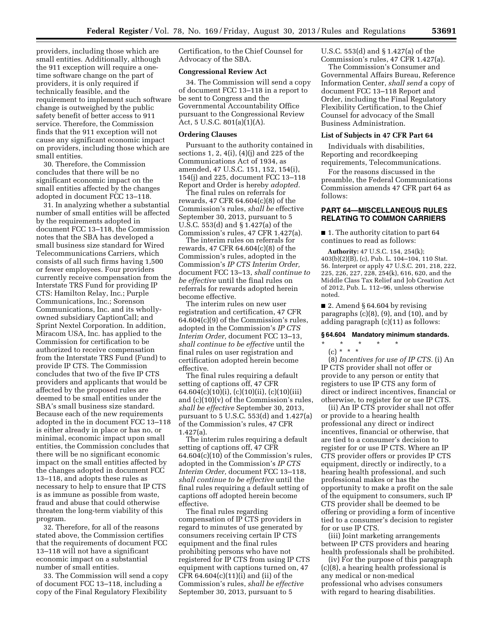providers, including those which are small entities. Additionally, although the 911 exception will require a onetime software change on the part of providers, it is only required if technically feasible, and the requirement to implement such software change is outweighed by the public safety benefit of better access to 911 service. Therefore, the Commission finds that the 911 exception will not cause any significant economic impact on providers, including those which are small entities.

30. Therefore, the Commission concludes that there will be no significant economic impact on the small entities affected by the changes adopted in document FCC 13–118.

31. In analyzing whether a substantial number of small entities will be affected by the requirements adopted in document FCC 13–118, the Commission notes that the SBA has developed a small business size standard for Wired Telecommunications Carriers, which consists of all such firms having 1,500 or fewer employees. Four providers currently receive compensation from the Interstate TRS Fund for providing IP CTS: Hamilton Relay, Inc.; Purple Communications, Inc.; Sorenson Communications, Inc. and its whollyowned subsidiary CaptionCall; and Sprint Nextel Corporation. In addition, Miracom USA, Inc. has applied to the Commission for certification to be authorized to receive compensation from the Interstate TRS Fund (Fund) to provide IP CTS. The Commission concludes that two of the five IP CTS providers and applicants that would be affected by the proposed rules are deemed to be small entities under the SBA's small business size standard. Because each of the new requirements adopted in the in document FCC 13–118 is either already in place or has no, or minimal, economic impact upon small entities, the Commission concludes that there will be no significant economic impact on the small entities affected by the changes adopted in document FCC 13–118, and adopts these rules as necessary to help to ensure that IP CTS is as immune as possible from waste, fraud and abuse that could otherwise threaten the long-term viability of this program.

32. Therefore, for all of the reasons stated above, the Commission certifies that the requirements of document FCC 13–118 will not have a significant economic impact on a substantial number of small entities.

33. The Commission will send a copy of document FCC 13–118, including a copy of the Final Regulatory Flexibility

Certification, to the Chief Counsel for Advocacy of the SBA.

#### **Congressional Review Act**

34. The Commission will send a copy of document FCC 13–118 in a report to be sent to Congress and the Governmental Accountability Office pursuant to the Congressional Review Act, 5 U.S.C. 801(a)(1)(A).

#### **Ordering Clauses**

Pursuant to the authority contained in sections 1, 2, 4(i), (4)(j) and 225 of the Communications Act of 1934, as amended, 47 U.S.C. 151, 152, 154(i), 154(j) and 225, document FCC 13–118 Report and Order is hereby *adopted.* 

The final rules on referrals for rewards, 47 CFR 64.604(c)(8) of the Commission's rules, *shall be* effective September 30, 2013, pursuant to 5 U.S.C. 553(d) and § 1.427(a) of the Commission's rules, 47 CFR 1.427(a).

The interim rules on referrals for rewards, 47 CFR 64.604(c)(8) of the Commission's rules, adopted in the Commission's *IP CTS Interim Order,*  document FCC 13–13, *shall continue to be effective* until the final rules on referrals for rewards adopted herein become effective.

The interim rules on new user registration and certification, 47 CFR 64.604(c)(9) of the Commission's rules, adopted in the Commission's *IP CTS Interim Order,* document FCC 13–13, *shall continue to be effective* until the final rules on user registration and certification adopted herein become effective.

The final rules requiring a default setting of captions off, 47 CFR 64.604(c)(10)(i), (c)(10)(ii), (c)(10)(iii) and (c)(10)(v) of the Commission's rules, *shall be effective* September 30, 2013, pursuant to 5 U.S.C. 553(d) and 1.427(a) of the Commission's rules, 47 CFR 1.427(a).

The interim rules requiring a default setting of captions off, 47 CFR 64.604(c)(10) of the Commission's rules, adopted in the Commission's *IP CTS Interim Order,* document FCC 13–118, *shall continue to be effective* until the final rules requiring a default setting of captions off adopted herein become effective.

The final rules regarding compensation of IP CTS providers in regard to minutes of use generated by consumers receiving certain IP CTS equipment and the final rules prohibiting persons who have not registered for IP CTS from using IP CTS equipment with captions turned on, 47 CFR 64.604(c)(11)(i) and (ii) of the Commission's rules, *shall be effective*  September 30, 2013, pursuant to 5

U.S.C. 553(d) and § 1.427(a) of the Commission's rules, 47 CFR 1.427(a).

The Commission's Consumer and Governmental Affairs Bureau, Reference Information Center, *shall send* a copy of document FCC 13–118 Report and Order, including the Final Regulatory Flexibility Certification, to the Chief Counsel for advocacy of the Small Business Administration.

# **List of Subjects in 47 CFR Part 64**

Individuals with disabilities, Reporting and recordkeeping requirements, Telecommunications.

For the reasons discussed in the preamble, the Federal Communications Commission amends 47 CFR part 64 as follows:

# **PART 64—MISCELLANEOUS RULES RELATING TO COMMON CARRIERS**

■ 1. The authority citation to part 64 continues to read as follows:

**Authority:** 47 U.S.C. 154, 254(k); 403(b)(2)(B), (c), Pub. L. 104–104, 110 Stat. 56. Interpret or apply 47 U.S.C. 201, 218, 222, 225, 226, 227, 228, 254(k), 616, 620, and the Middle Class Tax Relief and Job Creation Act of 2012, Pub. L. 112–96, unless otherwise noted.

■ 2. Amend § 64.604 by revising paragraphs  $(c)(8)$ ,  $(9)$ , and  $(10)$ , and by adding paragraph (c)(11) as follows:

### **§ 64.604 Mandatory minimum standards.**

# \* \* \* \* \*

(c) \* \* \* (8) *Incentives for use of IP CTS.* (i) An IP CTS provider shall not offer or provide to any person or entity that registers to use IP CTS any form of direct or indirect incentives, financial or otherwise, to register for or use IP CTS.

(ii) An IP CTS provider shall not offer or provide to a hearing health professional any direct or indirect incentives, financial or otherwise, that are tied to a consumer's decision to register for or use IP CTS. Where an IP CTS provider offers or provides IP CTS equipment, directly or indirectly, to a hearing health professional, and such professional makes or has the opportunity to make a profit on the sale of the equipment to consumers, such IP CTS provider shall be deemed to be offering or providing a form of incentive tied to a consumer's decision to register for or use IP CTS.

(iii) Joint marketing arrangements between IP CTS providers and hearing health professionals shall be prohibited.

(iv) For the purpose of this paragraph (c)(8), a hearing health professional is any medical or non-medical professional who advises consumers with regard to hearing disabilities.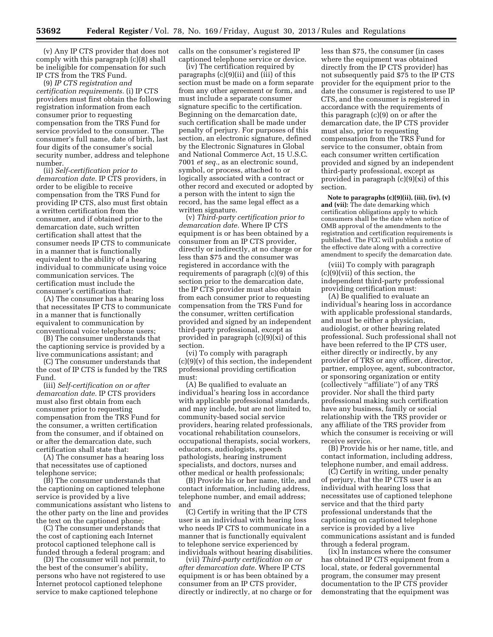(v) Any IP CTS provider that does not comply with this paragraph (c)(8) shall be ineligible for compensation for such IP CTS from the TRS Fund.

(9) *IP CTS registration and certification requirements.* (i) IP CTS providers must first obtain the following registration information from each consumer prior to requesting compensation from the TRS Fund for service provided to the consumer. The consumer's full name, date of birth, last four digits of the consumer's social security number, address and telephone number.

(ii) *Self-certification prior to demarcation date.* IP CTS providers, in order to be eligible to receive compensation from the TRS Fund for providing IP CTS, also must first obtain a written certification from the consumer, and if obtained prior to the demarcation date, such written certification shall attest that the consumer needs IP CTS to communicate in a manner that is functionally equivalent to the ability of a hearing individual to communicate using voice communication services. The certification must include the consumer's certification that:

(A) The consumer has a hearing loss that necessitates IP CTS to communicate in a manner that is functionally equivalent to communication by conventional voice telephone users;

(B) The consumer understands that the captioning service is provided by a live communications assistant; and

(C) The consumer understands that the cost of IP CTS is funded by the TRS Fund.

(iii) *Self-certification on or after demarcation date.* IP CTS providers must also first obtain from each consumer prior to requesting compensation from the TRS Fund for the consumer, a written certification from the consumer, and if obtained on or after the demarcation date, such certification shall state that:

(A) The consumer has a hearing loss that necessitates use of captioned telephone service;

(B) The consumer understands that the captioning on captioned telephone service is provided by a live communications assistant who listens to the other party on the line and provides the text on the captioned phone;

(C) The consumer understands that the cost of captioning each Internet protocol captioned telephone call is funded through a federal program; and

(D) The consumer will not permit, to the best of the consumer's ability, persons who have not registered to use Internet protocol captioned telephone service to make captioned telephone

calls on the consumer's registered IP captioned telephone service or device.

(iv) The certification required by paragraphs (c)(9)(ii) and (iii) of this section must be made on a form separate from any other agreement or form, and must include a separate consumer signature specific to the certification. Beginning on the demarcation date, such certification shall be made under penalty of perjury. For purposes of this section, an electronic signature, defined by the Electronic Signatures in Global and National Commerce Act, 15 U.S.C. 7001 *et seq.,* as an electronic sound, symbol, or process, attached to or logically associated with a contract or other record and executed or adopted by a person with the intent to sign the record, has the same legal effect as a written signature.

(v) *Third-party certification prior to demarcation date.* Where IP CTS equipment is or has been obtained by a consumer from an IP CTS provider, directly or indirectly, at no charge or for less than \$75 and the consumer was registered in accordance with the requirements of paragraph (c)(9) of this section prior to the demarcation date, the IP CTS provider must also obtain from each consumer prior to requesting compensation from the TRS Fund for the consumer, written certification provided and signed by an independent third-party professional, except as provided in paragraph (c)(9)(xi) of this section.

(vi) To comply with paragraph  $(c)(9)(v)$  of this section, the independent professional providing certification must:

(A) Be qualified to evaluate an individual's hearing loss in accordance with applicable professional standards, and may include, but are not limited to, community-based social service providers, hearing related professionals, vocational rehabilitation counselors, occupational therapists, social workers, educators, audiologists, speech pathologists, hearing instrument specialists, and doctors, nurses and other medical or health professionals;

(B) Provide his or her name, title, and contact information, including address, telephone number, and email address; and

(C) Certify in writing that the IP CTS user is an individual with hearing loss who needs IP CTS to communicate in a manner that is functionally equivalent to telephone service experienced by individuals without hearing disabilities.

(vii) *Third-party certification on or after demarcation date.* Where IP CTS equipment is or has been obtained by a consumer from an IP CTS provider, directly or indirectly, at no charge or for

less than \$75, the consumer (in cases where the equipment was obtained directly from the IP CTS provider) has not subsequently paid \$75 to the IP CTS provider for the equipment prior to the date the consumer is registered to use IP CTS, and the consumer is registered in accordance with the requirements of this paragraph (c)(9) on or after the demarcation date, the IP CTS provider must also, prior to requesting compensation from the TRS Fund for service to the consumer, obtain from each consumer written certification provided and signed by an independent third-party professional, except as provided in paragraph (c)(9)(xi) of this section.

**Note to paragraphs (c)(9)(ii), (iii), (iv), (v) and (vii):** The date demarking which certification obligations apply to which consumers shall be the date when notice of OMB approval of the amendments to the registration and certification requirements is published. The FCC will publish a notice of the effective date along with a corrective amendment to specify the demarcation date.

(viii) To comply with paragraph (c)(9)(vii) of this section, the independent third-party professional providing certification must:

(A) Be qualified to evaluate an individual's hearing loss in accordance with applicable professional standards, and must be either a physician, audiologist, or other hearing related professional. Such professional shall not have been referred to the IP CTS user, either directly or indirectly, by any provider of TRS or any officer, director, partner, employee, agent, subcontractor, or sponsoring organization or entity (collectively ''affiliate'') of any TRS provider. Nor shall the third party professional making such certification have any business, family or social relationship with the TRS provider or any affiliate of the TRS provider from which the consumer is receiving or will receive service.

(B) Provide his or her name, title, and contact information, including address, telephone number, and email address.

(C) Certify in writing, under penalty of perjury, that the IP CTS user is an individual with hearing loss that necessitates use of captioned telephone service and that the third party professional understands that the captioning on captioned telephone service is provided by a live communications assistant and is funded through a federal program.

(ix) In instances where the consumer has obtained IP CTS equipment from a local, state, or federal governmental program, the consumer may present documentation to the IP CTS provider demonstrating that the equipment was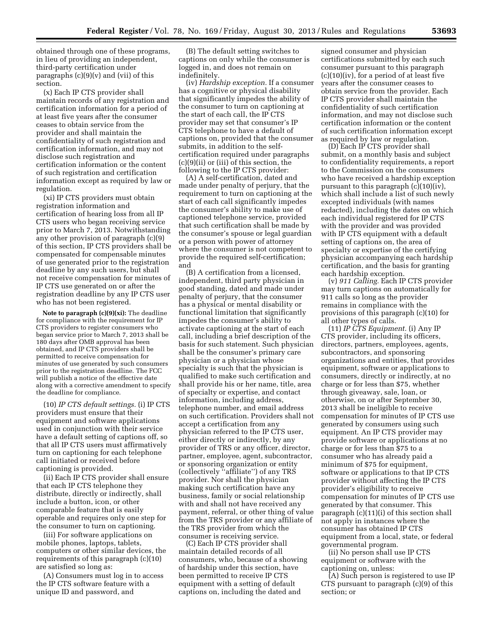obtained through one of these programs, in lieu of providing an independent, third-party certification under paragraphs  $(c)(9)(v)$  and  $(vii)$  of this section.

(x) Each IP CTS provider shall maintain records of any registration and certification information for a period of at least five years after the consumer ceases to obtain service from the provider and shall maintain the confidentiality of such registration and certification information, and may not disclose such registration and certification information or the content of such registration and certification information except as required by law or regulation.

(xi) IP CTS providers must obtain registration information and certification of hearing loss from all IP CTS users who began receiving service prior to March 7, 2013. Notwithstanding any other provision of paragraph (c)(9) of this section, IP CTS providers shall be compensated for compensable minutes of use generated prior to the registration deadline by any such users, but shall not receive compensation for minutes of IP CTS use generated on or after the registration deadline by any IP CTS user who has not been registered.

**Note to paragraph (c)(9)(xi):** The deadline for compliance with the requirement for IP CTS providers to register consumers who began service prior to March 7, 2013 shall be 180 days after OMB approval has been obtained, and IP CTS providers shall be permitted to receive compensation for minutes of use generated by such consumers prior to the registration deadline. The FCC will publish a notice of the effective date along with a corrective amendment to specify the deadline for compliance.

(10) *IP CTS default settings.* (i) IP CTS providers must ensure that their equipment and software applications used in conjunction with their service have a default setting of captions off, so that all IP CTS users must affirmatively turn on captioning for each telephone call initiated or received before captioning is provided.

(ii) Each IP CTS provider shall ensure that each IP CTS telephone they distribute, directly or indirectly, shall include a button, icon, or other comparable feature that is easily operable and requires only one step for the consumer to turn on captioning.

(iii) For software applications on mobile phones, laptops, tablets, computers or other similar devices, the requirements of this paragraph (c)(10) are satisfied so long as:

(A) Consumers must log in to access the IP CTS software feature with a unique ID and password, and

(B) The default setting switches to captions on only while the consumer is logged in, and does not remain on indefinitely.

(iv) *Hardship exception.* If a consumer has a cognitive or physical disability that significantly impedes the ability of the consumer to turn on captioning at the start of each call, the IP CTS provider may set that consumer's IP CTS telephone to have a default of captions on, provided that the consumer submits, in addition to the selfcertification required under paragraphs (c)(9)(ii) or (iii) of this section, the following to the IP CTS provider:

(A) A self-certification, dated and made under penalty of perjury, that the requirement to turn on captioning at the start of each call significantly impedes the consumer's ability to make use of captioned telephone service, provided that such certification shall be made by the consumer's spouse or legal guardian or a person with power of attorney where the consumer is not competent to provide the required self-certification; and

(B) A certification from a licensed, independent, third party physician in good standing, dated and made under penalty of perjury, that the consumer has a physical or mental disability or functional limitation that significantly impedes the consumer's ability to activate captioning at the start of each call, including a brief description of the basis for such statement. Such physician shall be the consumer's primary care physician or a physician whose specialty is such that the physician is qualified to make such certification and shall provide his or her name, title, area of specialty or expertise, and contact information, including address, telephone number, and email address on such certification. Providers shall not accept a certification from any physician referred to the IP CTS user, either directly or indirectly, by any provider of TRS or any officer, director, partner, employee, agent, subcontractor, or sponsoring organization or entity (collectively ''affiliate'') of any TRS provider. Nor shall the physician making such certification have any business, family or social relationship with and shall not have received any payment, referral, or other thing of value from the TRS provider or any affiliate of the TRS provider from which the consumer is receiving service.

(C) Each IP CTS provider shall maintain detailed records of all consumers, who, because of a showing of hardship under this section, have been permitted to receive IP CTS equipment with a setting of default captions on, including the dated and

signed consumer and physician certifications submitted by each such consumer pursuant to this paragraph (c)(10)(iv), for a period of at least five years after the consumer ceases to obtain service from the provider. Each IP CTS provider shall maintain the confidentiality of such certification information, and may not disclose such certification information or the content of such certification information except as required by law or regulation.

(D) Each IP CTS provider shall submit, on a monthly basis and subject to confidentiality requirements, a report to the Commission on the consumers who have received a hardship exception pursuant to this paragraph (c)(10)(iv), which shall include a list of such newly excepted individuals (with names redacted), including the dates on which each individual registered for IP CTS with the provider and was provided with IP CTS equipment with a default setting of captions on, the area of specialty or expertise of the certifying physician accompanying each hardship certification, and the basis for granting each hardship exception.

(v) *911 Calling.* Each IP CTS provider may turn captions on automatically for 911 calls so long as the provider remains in compliance with the provisions of this paragraph (c)(10) for all other types of calls.

(11) *IP CTS Equipment.* (i) Any IP CTS provider, including its officers, directors, partners, employees, agents, subcontractors, and sponsoring organizations and entities, that provides equipment, software or applications to consumers, directly or indirectly, at no charge or for less than \$75, whether through giveaway, sale, loan, or otherwise, on or after September 30, 2013 shall be ineligible to receive compensation for minutes of IP CTS use generated by consumers using such equipment. An IP CTS provider may provide software or applications at no charge or for less than \$75 to a consumer who has already paid a minimum of \$75 for equipment, software or applications to that IP CTS provider without affecting the IP CTS provider's eligibility to receive compensation for minutes of IP CTS use generated by that consumer. This paragraph (c)(11)(i) of this section shall not apply in instances where the consumer has obtained IP CTS equipment from a local, state, or federal governmental program.

(ii) No person shall use IP CTS equipment or software with the captioning on, unless:

(A) Such person is registered to use IP CTS pursuant to paragraph (c)(9) of this section; or